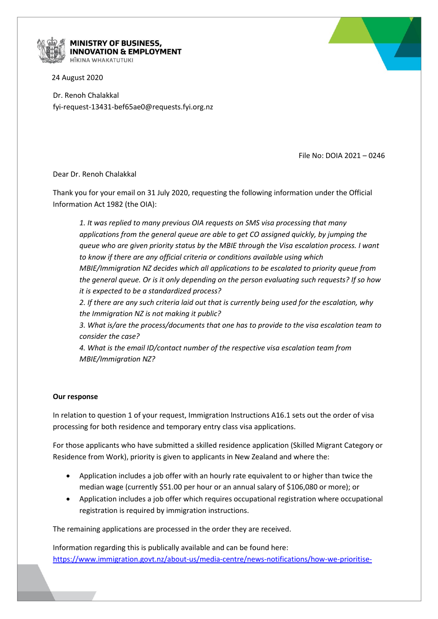

## MINISTRY OF BUSINESS, **INNOVATION & EMPLOYMENT**

24 August 2020

Dr. Renoh Chalakkal fyi-request-13431-bef65ae0@requests.fyi.org.nz

File No: DOIA 2021 – 0246

Dear Dr. Renoh Chalakkal

Thank you for your email on 31 July 2020, requesting the following information under the Official Information Act 1982 (the OIA):

*1. It was replied to many previous OIA requests on SMS visa processing that many applications from the general queue are able to get CO assigned quickly, by jumping the queue who are given priority status by the MBIE through the Visa escalation process. I want to know if there are any official criteria or conditions available using which MBIE/Immigration NZ decides which all applications to be escalated to priority queue from the general queue. Or is it only depending on the person evaluating such requests? If so how it is expected to be a standardized process?*

*2. If there are any such criteria laid out that is currently being used for the escalation, why the Immigration NZ is not making it public?*

*3. What is/are the process/documents that one has to provide to the visa escalation team to consider the case?*

*4. What is the email ID/contact number of the respective visa escalation team from MBIE/Immigration NZ?*

## **Our response**

In relation to question 1 of your request, Immigration Instructions A16.1 sets out the order of visa processing for both residence and temporary entry class visa applications.

For those applicants who have submitted a skilled residence application (Skilled Migrant Category or Residence from Work), priority is given to applicants in New Zealand and where the:

- Application includes a job offer with an hourly rate equivalent to or higher than twice the median wage (currently \$51.00 per hour or an annual salary of \$106,080 or more); or
- Application includes a job offer which requires occupational registration where occupational registration is required by immigration instructions.

The remaining applications are processed in the order they are received.

Information regarding this is publically available and can be found here: [https://www.immigration.govt.nz/about-us/media-centre/news-notifications/how-we-prioritise-](https://www.immigration.govt.nz/about-us/media-centre/news-notifications/how-we-prioritise-resident-visa-applications)